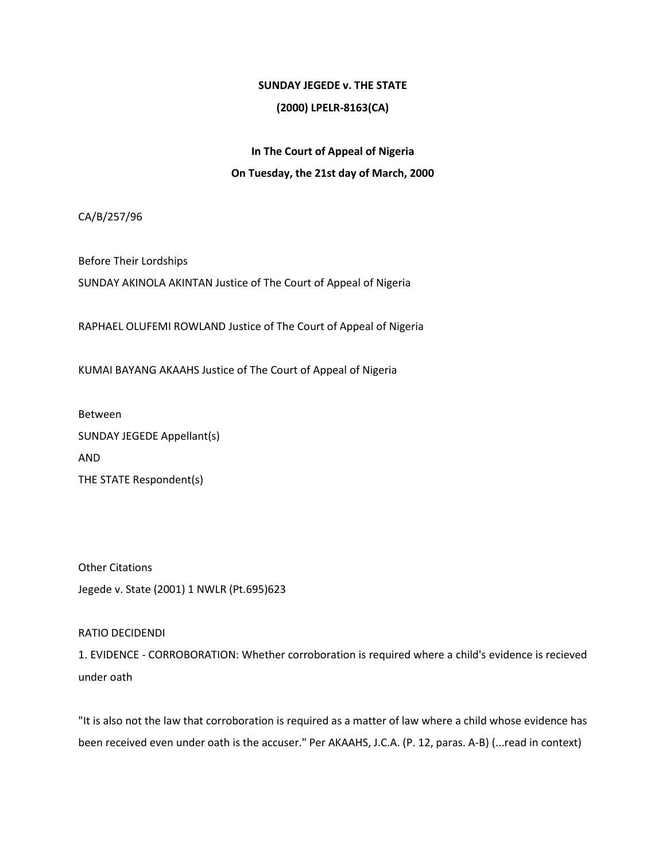### **SUNDAY JEGEDE v. THE STATE**

## **(2000) LPELR-8163(CA)**

# **In The Court of Appeal of Nigeria On Tuesday, the 21st day of March, 2000**

CA/B/257/96

Before Their Lordships SUNDAY AKINOLA AKINTAN Justice of The Court of Appeal of Nigeria

RAPHAEL OLUFEMI ROWLAND Justice of The Court of Appeal of Nigeria

KUMAI BAYANG AKAAHS Justice of The Court of Appeal of Nigeria

Between SUNDAY JEGEDE Appellant(s) AND THE STATE Respondent(s)

Other Citations Jegede v. State (2001) 1 NWLR (Pt.695)623

## RATIO DECIDENDI

1. EVIDENCE - CORROBORATION: Whether corroboration is required where a child's evidence is recieved under oath

"It is also not the law that corroboration is required as a matter of law where a child whose evidence has been received even under oath is the accuser." Per AKAAHS, J.C.A. (P. 12, paras. A-B) (...read in context)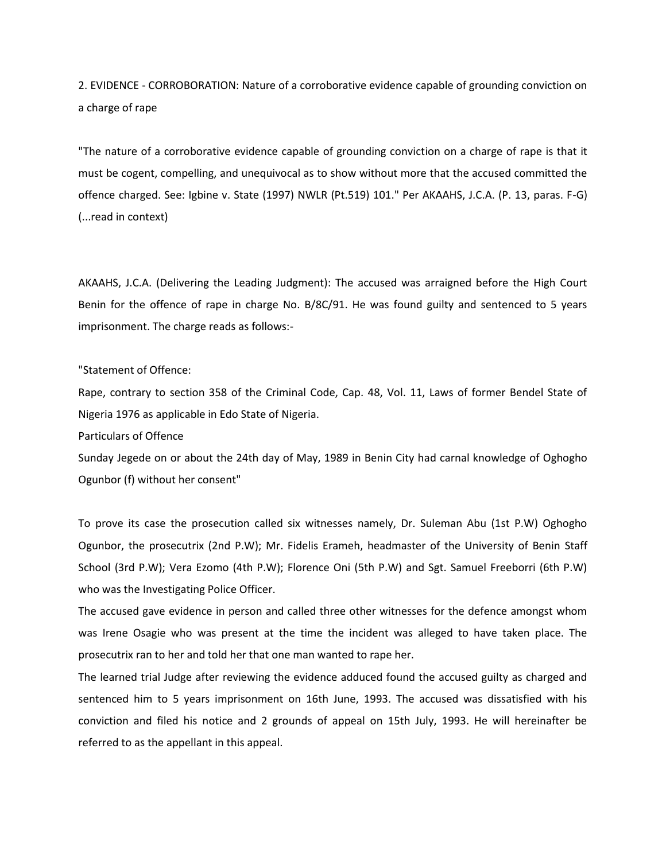2. EVIDENCE - CORROBORATION: Nature of a corroborative evidence capable of grounding conviction on a charge of rape

"The nature of a corroborative evidence capable of grounding conviction on a charge of rape is that it must be cogent, compelling, and unequivocal as to show without more that the accused committed the offence charged. See: Igbine v. State (1997) NWLR (Pt.519) 101." Per AKAAHS, J.C.A. (P. 13, paras. F-G) (...read in context)

AKAAHS, J.C.A. (Delivering the Leading Judgment): The accused was arraigned before the High Court Benin for the offence of rape in charge No. B/8C/91. He was found guilty and sentenced to 5 years imprisonment. The charge reads as follows:-

#### "Statement of Offence:

Rape, contrary to section 358 of the Criminal Code, Cap. 48, Vol. 11, Laws of former Bendel State of Nigeria 1976 as applicable in Edo State of Nigeria.

Particulars of Offence

Sunday Jegede on or about the 24th day of May, 1989 in Benin City had carnal knowledge of Oghogho Ogunbor (f) without her consent"

To prove its case the prosecution called six witnesses namely, Dr. Suleman Abu (1st P.W) Oghogho Ogunbor, the prosecutrix (2nd P.W); Mr. Fidelis Erameh, headmaster of the University of Benin Staff School (3rd P.W); Vera Ezomo (4th P.W); Florence Oni (5th P.W) and Sgt. Samuel Freeborri (6th P.W) who was the Investigating Police Officer.

The accused gave evidence in person and called three other witnesses for the defence amongst whom was Irene Osagie who was present at the time the incident was alleged to have taken place. The prosecutrix ran to her and told her that one man wanted to rape her.

The learned trial Judge after reviewing the evidence adduced found the accused guilty as charged and sentenced him to 5 years imprisonment on 16th June, 1993. The accused was dissatisfied with his conviction and filed his notice and 2 grounds of appeal on 15th July, 1993. He will hereinafter be referred to as the appellant in this appeal.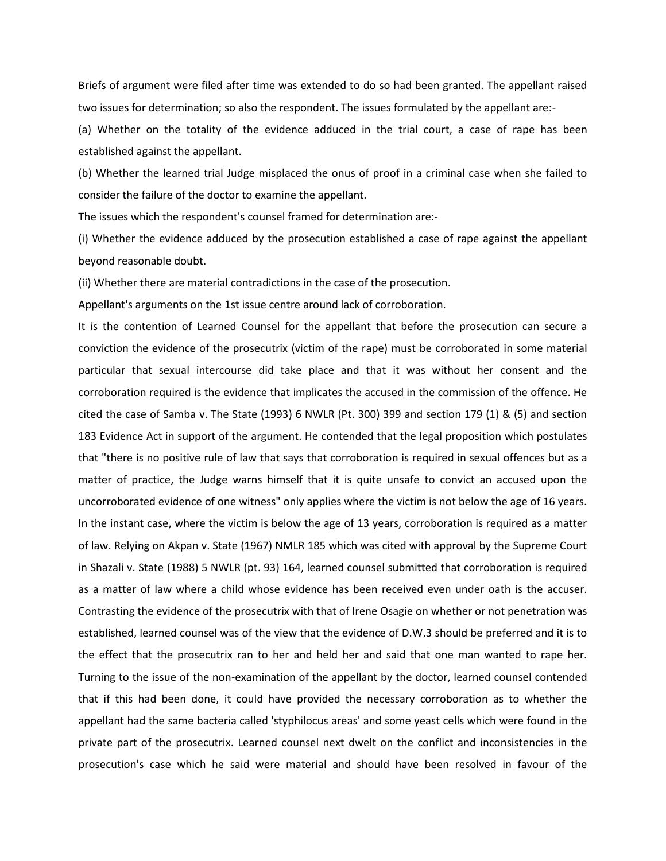Briefs of argument were filed after time was extended to do so had been granted. The appellant raised two issues for determination; so also the respondent. The issues formulated by the appellant are:-

(a) Whether on the totality of the evidence adduced in the trial court, a case of rape has been established against the appellant.

(b) Whether the learned trial Judge misplaced the onus of proof in a criminal case when she failed to consider the failure of the doctor to examine the appellant.

The issues which the respondent's counsel framed for determination are:-

(i) Whether the evidence adduced by the prosecution established a case of rape against the appellant beyond reasonable doubt.

(ii) Whether there are material contradictions in the case of the prosecution.

Appellant's arguments on the 1st issue centre around lack of corroboration.

It is the contention of Learned Counsel for the appellant that before the prosecution can secure a conviction the evidence of the prosecutrix (victim of the rape) must be corroborated in some material particular that sexual intercourse did take place and that it was without her consent and the corroboration required is the evidence that implicates the accused in the commission of the offence. He cited the case of Samba v. The State (1993) 6 NWLR (Pt. 300) 399 and section 179 (1) & (5) and section 183 Evidence Act in support of the argument. He contended that the legal proposition which postulates that "there is no positive rule of law that says that corroboration is required in sexual offences but as a matter of practice, the Judge warns himself that it is quite unsafe to convict an accused upon the uncorroborated evidence of one witness" only applies where the victim is not below the age of 16 years. In the instant case, where the victim is below the age of 13 years, corroboration is required as a matter of law. Relying on Akpan v. State (1967) NMLR 185 which was cited with approval by the Supreme Court in Shazali v. State (1988) 5 NWLR (pt. 93) 164, learned counsel submitted that corroboration is required as a matter of law where a child whose evidence has been received even under oath is the accuser. Contrasting the evidence of the prosecutrix with that of Irene Osagie on whether or not penetration was established, learned counsel was of the view that the evidence of D.W.3 should be preferred and it is to the effect that the prosecutrix ran to her and held her and said that one man wanted to rape her. Turning to the issue of the non-examination of the appellant by the doctor, learned counsel contended that if this had been done, it could have provided the necessary corroboration as to whether the appellant had the same bacteria called 'styphilocus areas' and some yeast cells which were found in the private part of the prosecutrix. Learned counsel next dwelt on the conflict and inconsistencies in the prosecution's case which he said were material and should have been resolved in favour of the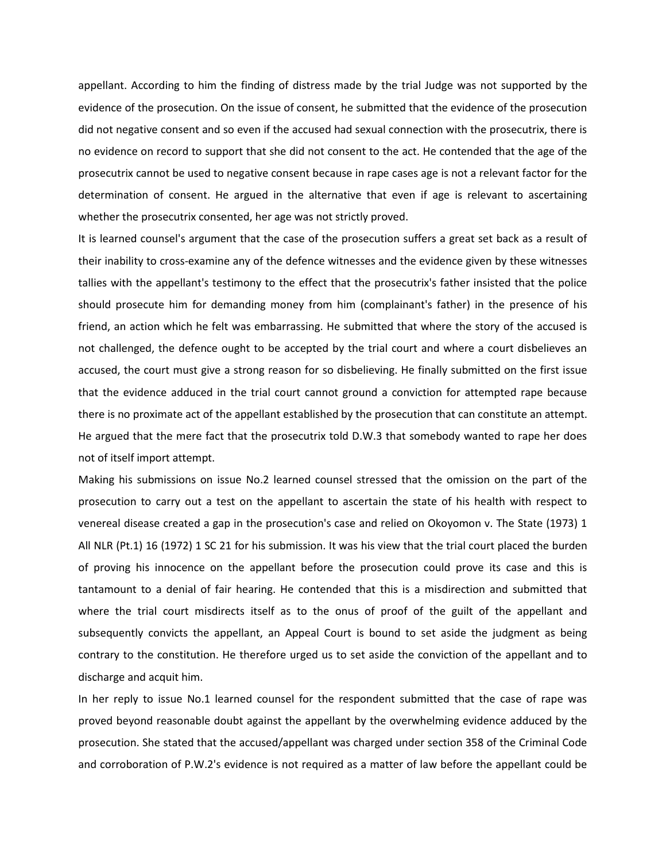appellant. According to him the finding of distress made by the trial Judge was not supported by the evidence of the prosecution. On the issue of consent, he submitted that the evidence of the prosecution did not negative consent and so even if the accused had sexual connection with the prosecutrix, there is no evidence on record to support that she did not consent to the act. He contended that the age of the prosecutrix cannot be used to negative consent because in rape cases age is not a relevant factor for the determination of consent. He argued in the alternative that even if age is relevant to ascertaining whether the prosecutrix consented, her age was not strictly proved.

It is learned counsel's argument that the case of the prosecution suffers a great set back as a result of their inability to cross-examine any of the defence witnesses and the evidence given by these witnesses tallies with the appellant's testimony to the effect that the prosecutrix's father insisted that the police should prosecute him for demanding money from him (complainant's father) in the presence of his friend, an action which he felt was embarrassing. He submitted that where the story of the accused is not challenged, the defence ought to be accepted by the trial court and where a court disbelieves an accused, the court must give a strong reason for so disbelieving. He finally submitted on the first issue that the evidence adduced in the trial court cannot ground a conviction for attempted rape because there is no proximate act of the appellant established by the prosecution that can constitute an attempt. He argued that the mere fact that the prosecutrix told D.W.3 that somebody wanted to rape her does not of itself import attempt.

Making his submissions on issue No.2 learned counsel stressed that the omission on the part of the prosecution to carry out a test on the appellant to ascertain the state of his health with respect to venereal disease created a gap in the prosecution's case and relied on Okoyomon v. The State (1973) 1 All NLR (Pt.1) 16 (1972) 1 SC 21 for his submission. It was his view that the trial court placed the burden of proving his innocence on the appellant before the prosecution could prove its case and this is tantamount to a denial of fair hearing. He contended that this is a misdirection and submitted that where the trial court misdirects itself as to the onus of proof of the guilt of the appellant and subsequently convicts the appellant, an Appeal Court is bound to set aside the judgment as being contrary to the constitution. He therefore urged us to set aside the conviction of the appellant and to discharge and acquit him.

In her reply to issue No.1 learned counsel for the respondent submitted that the case of rape was proved beyond reasonable doubt against the appellant by the overwhelming evidence adduced by the prosecution. She stated that the accused/appellant was charged under section 358 of the Criminal Code and corroboration of P.W.2's evidence is not required as a matter of law before the appellant could be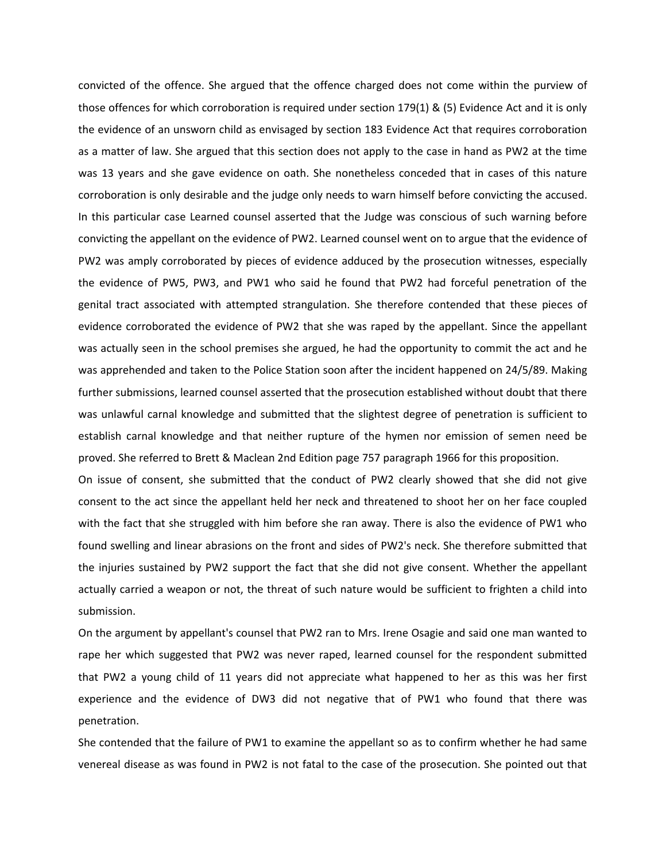convicted of the offence. She argued that the offence charged does not come within the purview of those offences for which corroboration is required under section 179(1) & (5) Evidence Act and it is only the evidence of an unsworn child as envisaged by section 183 Evidence Act that requires corroboration as a matter of law. She argued that this section does not apply to the case in hand as PW2 at the time was 13 years and she gave evidence on oath. She nonetheless conceded that in cases of this nature corroboration is only desirable and the judge only needs to warn himself before convicting the accused. In this particular case Learned counsel asserted that the Judge was conscious of such warning before convicting the appellant on the evidence of PW2. Learned counsel went on to argue that the evidence of PW2 was amply corroborated by pieces of evidence adduced by the prosecution witnesses, especially the evidence of PW5, PW3, and PW1 who said he found that PW2 had forceful penetration of the genital tract associated with attempted strangulation. She therefore contended that these pieces of evidence corroborated the evidence of PW2 that she was raped by the appellant. Since the appellant was actually seen in the school premises she argued, he had the opportunity to commit the act and he was apprehended and taken to the Police Station soon after the incident happened on 24/5/89. Making further submissions, learned counsel asserted that the prosecution established without doubt that there was unlawful carnal knowledge and submitted that the slightest degree of penetration is sufficient to establish carnal knowledge and that neither rupture of the hymen nor emission of semen need be proved. She referred to Brett & Maclean 2nd Edition page 757 paragraph 1966 for this proposition.

On issue of consent, she submitted that the conduct of PW2 clearly showed that she did not give consent to the act since the appellant held her neck and threatened to shoot her on her face coupled with the fact that she struggled with him before she ran away. There is also the evidence of PW1 who found swelling and linear abrasions on the front and sides of PW2's neck. She therefore submitted that the injuries sustained by PW2 support the fact that she did not give consent. Whether the appellant actually carried a weapon or not, the threat of such nature would be sufficient to frighten a child into submission.

On the argument by appellant's counsel that PW2 ran to Mrs. Irene Osagie and said one man wanted to rape her which suggested that PW2 was never raped, learned counsel for the respondent submitted that PW2 a young child of 11 years did not appreciate what happened to her as this was her first experience and the evidence of DW3 did not negative that of PW1 who found that there was penetration.

She contended that the failure of PW1 to examine the appellant so as to confirm whether he had same venereal disease as was found in PW2 is not fatal to the case of the prosecution. She pointed out that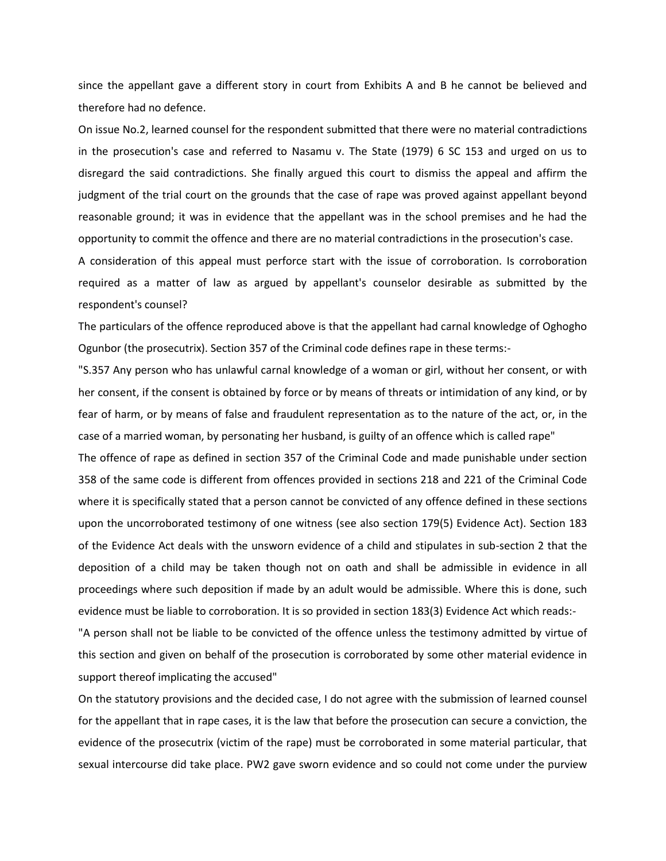since the appellant gave a different story in court from Exhibits A and B he cannot be believed and therefore had no defence.

On issue No.2, learned counsel for the respondent submitted that there were no material contradictions in the prosecution's case and referred to Nasamu v. The State (1979) 6 SC 153 and urged on us to disregard the said contradictions. She finally argued this court to dismiss the appeal and affirm the judgment of the trial court on the grounds that the case of rape was proved against appellant beyond reasonable ground; it was in evidence that the appellant was in the school premises and he had the opportunity to commit the offence and there are no material contradictions in the prosecution's case.

A consideration of this appeal must perforce start with the issue of corroboration. Is corroboration required as a matter of law as argued by appellant's counselor desirable as submitted by the respondent's counsel?

The particulars of the offence reproduced above is that the appellant had carnal knowledge of Oghogho Ogunbor (the prosecutrix). Section 357 of the Criminal code defines rape in these terms:-

"S.357 Any person who has unlawful carnal knowledge of a woman or girl, without her consent, or with her consent, if the consent is obtained by force or by means of threats or intimidation of any kind, or by fear of harm, or by means of false and fraudulent representation as to the nature of the act, or, in the case of a married woman, by personating her husband, is guilty of an offence which is called rape"

The offence of rape as defined in section 357 of the Criminal Code and made punishable under section 358 of the same code is different from offences provided in sections 218 and 221 of the Criminal Code where it is specifically stated that a person cannot be convicted of any offence defined in these sections upon the uncorroborated testimony of one witness (see also section 179(5) Evidence Act). Section 183 of the Evidence Act deals with the unsworn evidence of a child and stipulates in sub-section 2 that the deposition of a child may be taken though not on oath and shall be admissible in evidence in all proceedings where such deposition if made by an adult would be admissible. Where this is done, such evidence must be liable to corroboration. It is so provided in section 183(3) Evidence Act which reads:-

"A person shall not be liable to be convicted of the offence unless the testimony admitted by virtue of this section and given on behalf of the prosecution is corroborated by some other material evidence in support thereof implicating the accused"

On the statutory provisions and the decided case, I do not agree with the submission of learned counsel for the appellant that in rape cases, it is the law that before the prosecution can secure a conviction, the evidence of the prosecutrix (victim of the rape) must be corroborated in some material particular, that sexual intercourse did take place. PW2 gave sworn evidence and so could not come under the purview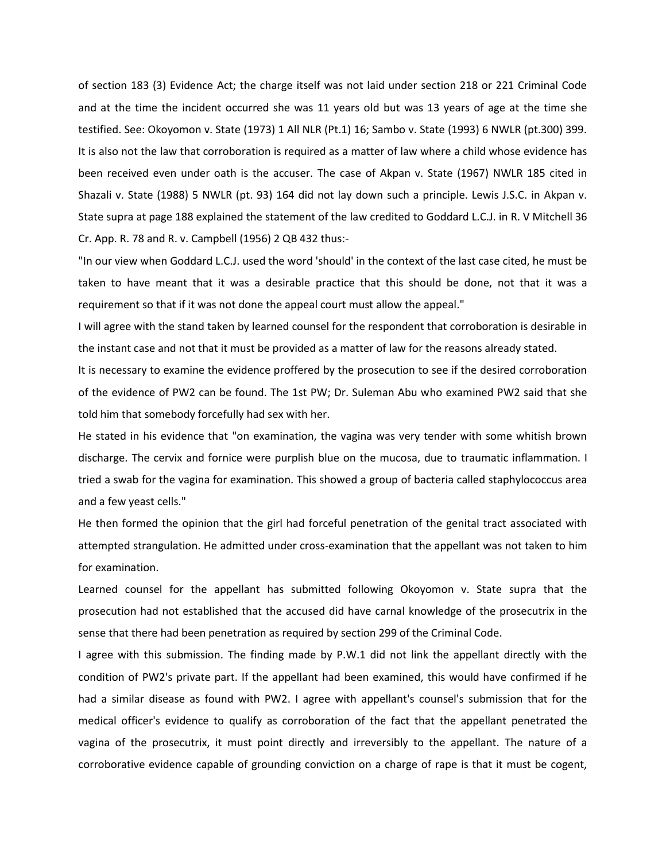of section 183 (3) Evidence Act; the charge itself was not laid under section 218 or 221 Criminal Code and at the time the incident occurred she was 11 years old but was 13 years of age at the time she testified. See: Okoyomon v. State (1973) 1 All NLR (Pt.1) 16; Sambo v. State (1993) 6 NWLR (pt.300) 399. It is also not the law that corroboration is required as a matter of law where a child whose evidence has been received even under oath is the accuser. The case of Akpan v. State (1967) NWLR 185 cited in Shazali v. State (1988) 5 NWLR (pt. 93) 164 did not lay down such a principle. Lewis J.S.C. in Akpan v. State supra at page 188 explained the statement of the law credited to Goddard L.C.J. in R. V Mitchell 36 Cr. App. R. 78 and R. v. Campbell (1956) 2 QB 432 thus:-

"In our view when Goddard L.C.J. used the word 'should' in the context of the last case cited, he must be taken to have meant that it was a desirable practice that this should be done, not that it was a requirement so that if it was not done the appeal court must allow the appeal."

I will agree with the stand taken by learned counsel for the respondent that corroboration is desirable in the instant case and not that it must be provided as a matter of law for the reasons already stated.

It is necessary to examine the evidence proffered by the prosecution to see if the desired corroboration of the evidence of PW2 can be found. The 1st PW; Dr. Suleman Abu who examined PW2 said that she told him that somebody forcefully had sex with her.

He stated in his evidence that "on examination, the vagina was very tender with some whitish brown discharge. The cervix and fornice were purplish blue on the mucosa, due to traumatic inflammation. I tried a swab for the vagina for examination. This showed a group of bacteria called staphylococcus area and a few yeast cells."

He then formed the opinion that the girl had forceful penetration of the genital tract associated with attempted strangulation. He admitted under cross-examination that the appellant was not taken to him for examination.

Learned counsel for the appellant has submitted following Okoyomon v. State supra that the prosecution had not established that the accused did have carnal knowledge of the prosecutrix in the sense that there had been penetration as required by section 299 of the Criminal Code.

I agree with this submission. The finding made by P.W.1 did not link the appellant directly with the condition of PW2's private part. If the appellant had been examined, this would have confirmed if he had a similar disease as found with PW2. I agree with appellant's counsel's submission that for the medical officer's evidence to qualify as corroboration of the fact that the appellant penetrated the vagina of the prosecutrix, it must point directly and irreversibly to the appellant. The nature of a corroborative evidence capable of grounding conviction on a charge of rape is that it must be cogent,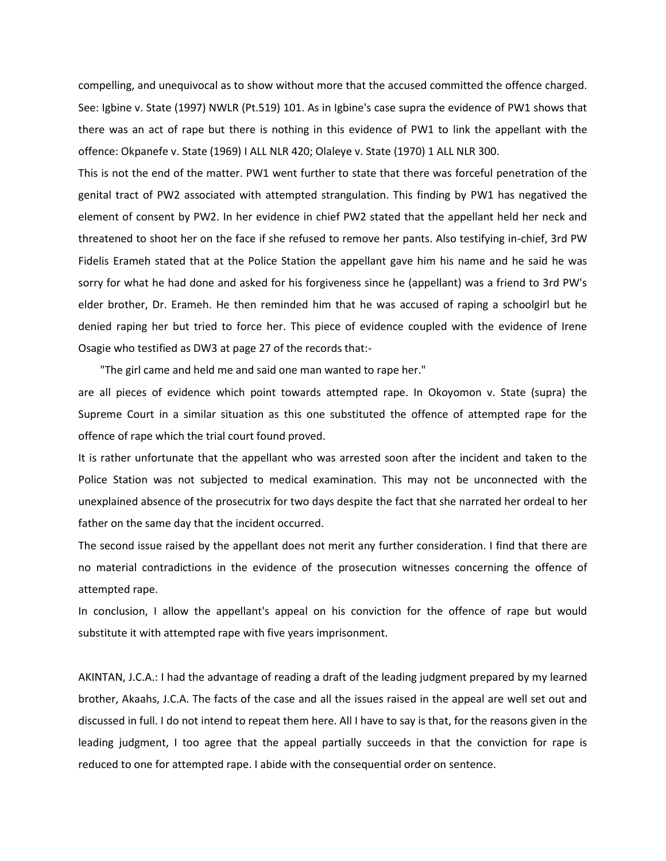compelling, and unequivocal as to show without more that the accused committed the offence charged. See: Igbine v. State (1997) NWLR (Pt.519) 101. As in Igbine's case supra the evidence of PW1 shows that there was an act of rape but there is nothing in this evidence of PW1 to link the appellant with the offence: Okpanefe v. State (1969) I ALL NLR 420; Olaleye v. State (1970) 1 ALL NLR 300.

This is not the end of the matter. PW1 went further to state that there was forceful penetration of the genital tract of PW2 associated with attempted strangulation. This finding by PW1 has negatived the element of consent by PW2. In her evidence in chief PW2 stated that the appellant held her neck and threatened to shoot her on the face if she refused to remove her pants. Also testifying in-chief, 3rd PW Fidelis Erameh stated that at the Police Station the appellant gave him his name and he said he was sorry for what he had done and asked for his forgiveness since he (appellant) was a friend to 3rd PW's elder brother, Dr. Erameh. He then reminded him that he was accused of raping a schoolgirl but he denied raping her but tried to force her. This piece of evidence coupled with the evidence of Irene Osagie who testified as DW3 at page 27 of the records that:-

"The girl came and held me and said one man wanted to rape her."

are all pieces of evidence which point towards attempted rape. In Okoyomon v. State (supra) the Supreme Court in a similar situation as this one substituted the offence of attempted rape for the offence of rape which the trial court found proved.

It is rather unfortunate that the appellant who was arrested soon after the incident and taken to the Police Station was not subjected to medical examination. This may not be unconnected with the unexplained absence of the prosecutrix for two days despite the fact that she narrated her ordeal to her father on the same day that the incident occurred.

The second issue raised by the appellant does not merit any further consideration. I find that there are no material contradictions in the evidence of the prosecution witnesses concerning the offence of attempted rape.

In conclusion, I allow the appellant's appeal on his conviction for the offence of rape but would substitute it with attempted rape with five years imprisonment.

AKINTAN, J.C.A.: I had the advantage of reading a draft of the leading judgment prepared by my learned brother, Akaahs, J.C.A. The facts of the case and all the issues raised in the appeal are well set out and discussed in full. I do not intend to repeat them here. All I have to say is that, for the reasons given in the leading judgment, I too agree that the appeal partially succeeds in that the conviction for rape is reduced to one for attempted rape. I abide with the consequential order on sentence.